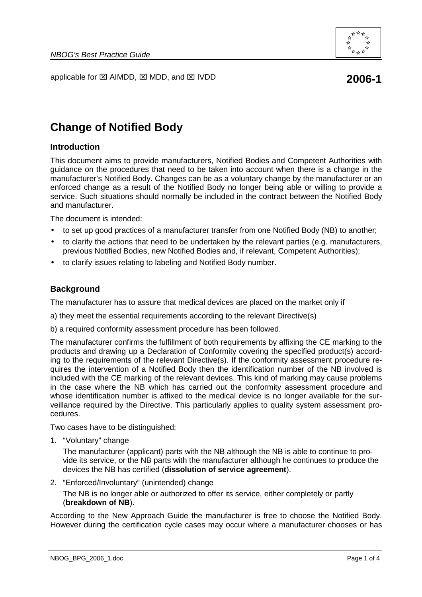

applicable for  $\boxtimes$  AIMDD,  $\boxtimes$  MDD, and  $\boxtimes$  IVDD **2006-1** 

# **Change of Notified Body**

### **Introduction**

This document aims to provide manufacturers, Notified Bodies and Competent Authorities with guidance on the procedures that need to be taken into account when there is a change in the manufacturer's Notified Body. Changes can be as a voluntary change by the manufacturer or an enforced change as a result of the Notified Body no longer being able or willing to provide a service. Such situations should normally be included in the contract between the Notified Body and manufacturer.

The document is intended:

- to set up good practices of a manufacturer transfer from one Notified Body (NB) to another;
- to clarify the actions that need to be undertaken by the relevant parties (e.g. manufacturers, previous Notified Bodies, new Notified Bodies and, if relevant, Competent Authorities);
- to clarify issues relating to labeling and Notified Body number.

### **Background**

The manufacturer has to assure that medical devices are placed on the market only if

- a) they meet the essential requirements according to the relevant Directive(s)
- b) a required conformity assessment procedure has been followed.

The manufacturer confirms the fulfillment of both requirements by affixing the CE marking to the products and drawing up a Declaration of Conformity covering the specified product(s) according to the requirements of the relevant Directive(s). If the conformity assessment procedure requires the intervention of a Notified Body then the identification number of the NB involved is included with the CE marking of the relevant devices. This kind of marking may cause problems in the case where the NB which has carried out the conformity assessment procedure and whose identification number is affixed to the medical device is no longer available for the surveillance required by the Directive. This particularly applies to quality system assessment procedures.

Two cases have to be distinguished:

1. "Voluntary" change

The manufacturer (applicant) parts with the NB although the NB is able to continue to provide its service, or the NB parts with the manufacturer although he continues to produce the devices the NB has certified (**dissolution of service agreement**).

2. "Enforced/Involuntary" (unintended) change

The NB is no longer able or authorized to offer its service, either completely or partly (**breakdown of NB**).

According to the New Approach Guide the manufacturer is free to choose the Notified Body. However during the certification cycle cases may occur where a manufacturer chooses or has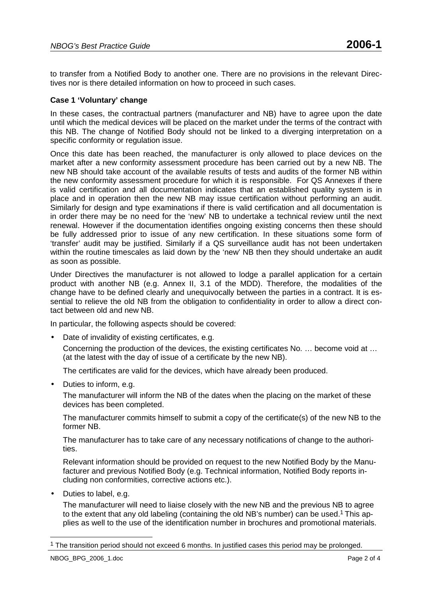to transfer from a Notified Body to another one. There are no provisions in the relevant Directives nor is there detailed information on how to proceed in such cases.

# **Case 1 'Voluntary' change**

In these cases, the contractual partners (manufacturer and NB) have to agree upon the date until which the medical devices will be placed on the market under the terms of the contract with this NB. The change of Notified Body should not be linked to a diverging interpretation on a specific conformity or regulation issue.

Once this date has been reached, the manufacturer is only allowed to place devices on the market after a new conformity assessment procedure has been carried out by a new NB. The new NB should take account of the available results of tests and audits of the former NB within the new conformity assessment procedure for which it is responsible. For QS Annexes if there is valid certification and all documentation indicates that an established quality system is in place and in operation then the new NB may issue certification without performing an audit. Similarly for design and type examinations if there is valid certification and all documentation is in order there may be no need for the 'new' NB to undertake a technical review until the next renewal. However if the documentation identifies ongoing existing concerns then these should be fully addressed prior to issue of any new certification. In these situations some form of 'transfer' audit may be justified. Similarly if a QS surveillance audit has not been undertaken within the routine timescales as laid down by the 'new' NB then they should undertake an audit as soon as possible.

Under Directives the manufacturer is not allowed to lodge a parallel application for a certain product with another NB (e.g. Annex II, 3.1 of the MDD). Therefore, the modalities of the change have to be defined clearly and unequivocally between the parties in a contract. It is essential to relieve the old NB from the obligation to confidentiality in order to allow a direct contact between old and new NB.

In particular, the following aspects should be covered:

• Date of invalidity of existing certificates, e.g.

Concerning the production of the devices, the existing certificates No. … become void at … (at the latest with the day of issue of a certificate by the new NB).

The certificates are valid for the devices, which have already been produced.

• Duties to inform, e.g.

The manufacturer will inform the NB of the dates when the placing on the market of these devices has been completed.

The manufacturer commits himself to submit a copy of the certificate(s) of the new NB to the former NB.

The manufacturer has to take care of any necessary notifications of change to the authorities.

Relevant information should be provided on request to the new Notified Body by the Manufacturer and previous Notified Body (e.g. Technical information, Notified Body reports including non conformities, corrective actions etc.).

• Duties to label, e.g.

The manufacturer will need to liaise closely with the new NB and the previous NB to agree to the extent that any old labeling (containing the old NB's number) can be used.1 This applies as well to the use of the identification number in brochures and promotional materials.

 $\overline{a}$ 

<sup>&</sup>lt;sup>1</sup> The transition period should not exceed 6 months. In justified cases this period may be prolonged.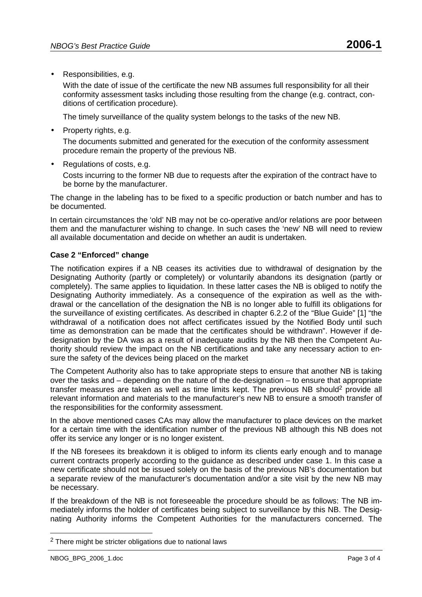• Responsibilities, e.g.

With the date of issue of the certificate the new NB assumes full responsibility for all their conformity assessment tasks including those resulting from the change (e.g. contract, conditions of certification procedure).

The timely surveillance of the quality system belongs to the tasks of the new NB.

• Property rights, e.g.

The documents submitted and generated for the execution of the conformity assessment procedure remain the property of the previous NB.

• Regulations of costs, e.g.

Costs incurring to the former NB due to requests after the expiration of the contract have to be borne by the manufacturer.

The change in the labeling has to be fixed to a specific production or batch number and has to be documented.

In certain circumstances the 'old' NB may not be co-operative and/or relations are poor between them and the manufacturer wishing to change. In such cases the 'new' NB will need to review all available documentation and decide on whether an audit is undertaken.

# **Case 2 "Enforced" change**

The notification expires if a NB ceases its activities due to withdrawal of designation by the Designating Authority (partly or completely) or voluntarily abandons its designation (partly or completely). The same applies to liquidation. In these latter cases the NB is obliged to notify the Designating Authority immediately. As a consequence of the expiration as well as the withdrawal or the cancellation of the designation the NB is no longer able to fulfill its obligations for the surveillance of existing certificates. As described in chapter 6.2.2 of the "Blue Guide" [1] "the withdrawal of a notification does not affect certificates issued by the Notified Body until such time as demonstration can be made that the certificates should be withdrawn". However if dedesignation by the DA was as a result of inadequate audits by the NB then the Competent Authority should review the impact on the NB certifications and take any necessary action to ensure the safety of the devices being placed on the market

The Competent Authority also has to take appropriate steps to ensure that another NB is taking over the tasks and – depending on the nature of the de-designation – to ensure that appropriate transfer measures are taken as well as time limits kept. The previous NB should2 provide all relevant information and materials to the manufacturer's new NB to ensure a smooth transfer of the responsibilities for the conformity assessment.

In the above mentioned cases CAs may allow the manufacturer to place devices on the market for a certain time with the identification number of the previous NB although this NB does not offer its service any longer or is no longer existent.

If the NB foresees its breakdown it is obliged to inform its clients early enough and to manage current contracts properly according to the guidance as described under case 1. In this case a new certificate should not be issued solely on the basis of the previous NB's documentation but a separate review of the manufacturer's documentation and/or a site visit by the new NB may be necessary.

If the breakdown of the NB is not foreseeable the procedure should be as follows: The NB immediately informs the holder of certificates being subject to surveillance by this NB. The Designating Authority informs the Competent Authorities for the manufacturers concerned. The

 $\overline{a}$ 

<sup>2</sup> There might be stricter obligations due to national laws